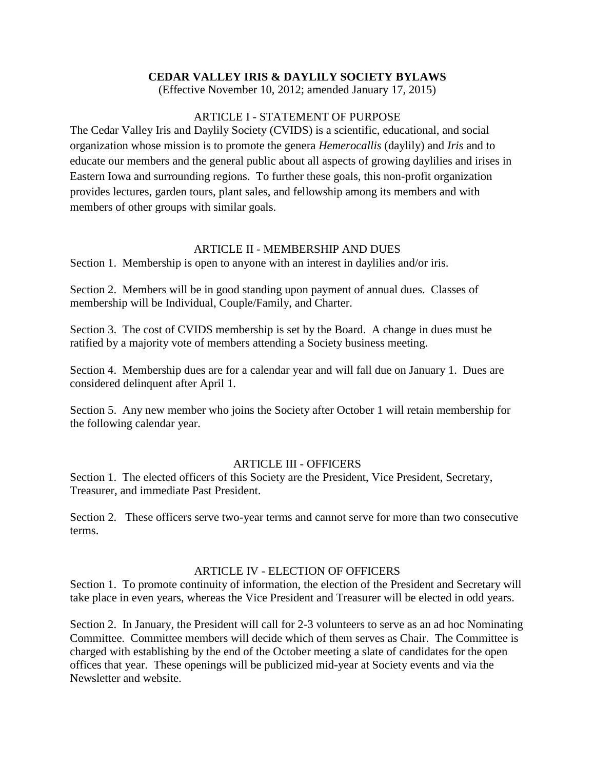## **CEDAR VALLEY IRIS & DAYLILY SOCIETY BYLAWS**

(Effective November 10, 2012; amended January 17, 2015)

### ARTICLE I - STATEMENT OF PURPOSE

The Cedar Valley Iris and Daylily Society (CVIDS) is a scientific, educational, and social organization whose mission is to promote the genera *Hemerocallis* (daylily) and *Iris* and to educate our members and the general public about all aspects of growing daylilies and irises in Eastern Iowa and surrounding regions. To further these goals, this non-profit organization provides lectures, garden tours, plant sales, and fellowship among its members and with members of other groups with similar goals.

## ARTICLE II - MEMBERSHIP AND DUES

Section 1. Membership is open to anyone with an interest in daylilies and/or iris.

Section 2. Members will be in good standing upon payment of annual dues. Classes of membership will be Individual, Couple/Family, and Charter.

Section 3. The cost of CVIDS membership is set by the Board. A change in dues must be ratified by a majority vote of members attending a Society business meeting.

Section 4. Membership dues are for a calendar year and will fall due on January 1. Dues are considered delinquent after April 1.

Section 5. Any new member who joins the Society after October 1 will retain membership for the following calendar year.

### ARTICLE III - OFFICERS

Section 1. The elected officers of this Society are the President, Vice President, Secretary, Treasurer, and immediate Past President.

Section 2. These officers serve two-year terms and cannot serve for more than two consecutive terms.

### ARTICLE IV - ELECTION OF OFFICERS

Section 1. To promote continuity of information, the election of the President and Secretary will take place in even years, whereas the Vice President and Treasurer will be elected in odd years.

Section 2. In January, the President will call for 2-3 volunteers to serve as an ad hoc Nominating Committee. Committee members will decide which of them serves as Chair. The Committee is charged with establishing by the end of the October meeting a slate of candidates for the open offices that year. These openings will be publicized mid-year at Society events and via the Newsletter and website.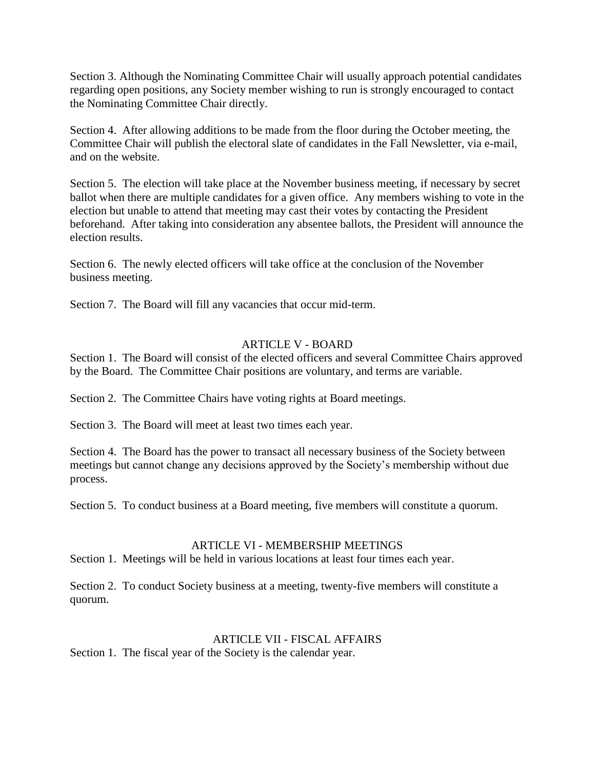Section 3. Although the Nominating Committee Chair will usually approach potential candidates regarding open positions, any Society member wishing to run is strongly encouraged to contact the Nominating Committee Chair directly.

Section 4. After allowing additions to be made from the floor during the October meeting, the Committee Chair will publish the electoral slate of candidates in the Fall Newsletter, via e-mail, and on the website.

Section 5. The election will take place at the November business meeting, if necessary by secret ballot when there are multiple candidates for a given office. Any members wishing to vote in the election but unable to attend that meeting may cast their votes by contacting the President beforehand. After taking into consideration any absentee ballots, the President will announce the election results.

Section 6. The newly elected officers will take office at the conclusion of the November business meeting.

Section 7. The Board will fill any vacancies that occur mid-term.

## ARTICLE V - BOARD

Section 1. The Board will consist of the elected officers and several Committee Chairs approved by the Board. The Committee Chair positions are voluntary, and terms are variable.

Section 2. The Committee Chairs have voting rights at Board meetings.

Section 3. The Board will meet at least two times each year.

Section 4. The Board has the power to transact all necessary business of the Society between meetings but cannot change any decisions approved by the Society's membership without due process.

Section 5. To conduct business at a Board meeting, five members will constitute a quorum.

# ARTICLE VI - MEMBERSHIP MEETINGS

Section 1. Meetings will be held in various locations at least four times each year.

Section 2. To conduct Society business at a meeting, twenty-five members will constitute a quorum.

### ARTICLE VII - FISCAL AFFAIRS

Section 1. The fiscal year of the Society is the calendar year.